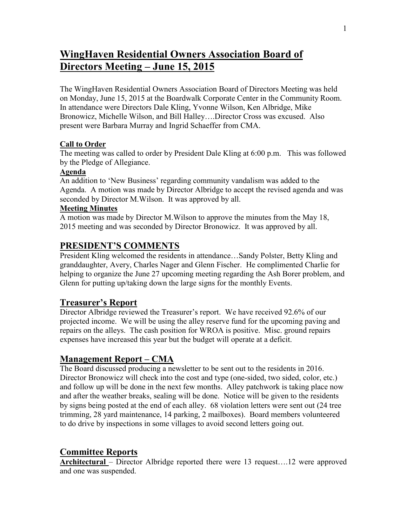# **WingHaven Residential Owners Association Board of Directors Meeting – June 15, 2015**

The WingHaven Residential Owners Association Board of Directors Meeting was held on Monday, June 15, 2015 at the Boardwalk Corporate Center in the Community Room. In attendance were Directors Dale Kling, Yvonne Wilson, Ken Albridge, Mike Bronowicz, Michelle Wilson, and Bill Halley….Director Cross was excused. Also present were Barbara Murray and Ingrid Schaeffer from CMA.

#### **Call to Order**

The meeting was called to order by President Dale Kling at 6:00 p.m. This was followed by the Pledge of Allegiance.

#### **Agenda**

An addition to 'New Business' regarding community vandalism was added to the Agenda. A motion was made by Director Albridge to accept the revised agenda and was seconded by Director M.Wilson. It was approved by all.

#### **Meeting Minutes**

A motion was made by Director M.Wilson to approve the minutes from the May 18, 2015 meeting and was seconded by Director Bronowicz. It was approved by all.

### **PRESIDENT'S COMMENTS**

President Kling welcomed the residents in attendance…Sandy Polster, Betty Kling and granddaughter, Avery, Charles Nager and Glenn Fischer. He complimented Charlie for helping to organize the June 27 upcoming meeting regarding the Ash Borer problem, and Glenn for putting up/taking down the large signs for the monthly Events.

#### **Treasurer's Report**

Director Albridge reviewed the Treasurer's report. We have received 92.6% of our projected income. We will be using the alley reserve fund for the upcoming paving and repairs on the alleys. The cash position for WROA is positive. Misc. ground repairs expenses have increased this year but the budget will operate at a deficit.

# **Management Report – CMA**

The Board discussed producing a newsletter to be sent out to the residents in 2016. Director Bronowicz will check into the cost and type (one-sided, two sided, color, etc.) and follow up will be done in the next few months. Alley patchwork is taking place now and after the weather breaks, sealing will be done. Notice will be given to the residents by signs being posted at the end of each alley. 68 violation letters were sent out (24 tree trimming, 28 yard maintenance, 14 parking, 2 mailboxes). Board members volunteered to do drive by inspections in some villages to avoid second letters going out.

#### **Committee Reports**

**Architectural** – Director Albridge reported there were 13 request….12 were approved and one was suspended.